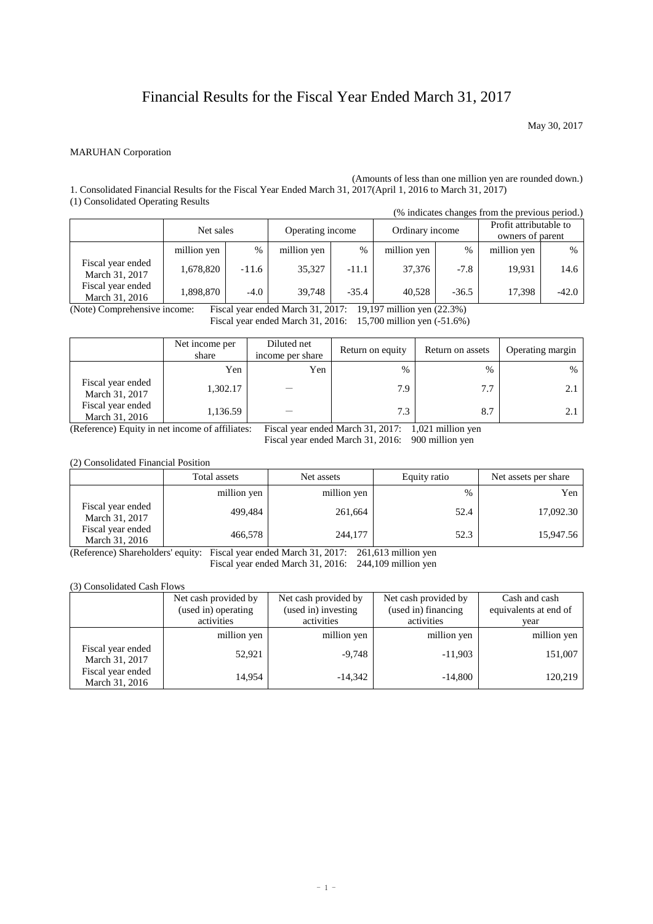# Financial Results for the Fiscal Year Ended March 31, 2017

May 30, 2017

#### MARUHAN Corporation

(Amounts of less than one million yen are rounded down.) 1. Consolidated Financial Results for the Fiscal Year Ended March 31, 2017(April 1, 2016 to March 31, 2017) (1) Consolidated Operating Results

|                                     |             |         |                  |         |                 |         | (% indicates changes from the previous period.) |         |
|-------------------------------------|-------------|---------|------------------|---------|-----------------|---------|-------------------------------------------------|---------|
|                                     | Net sales   |         | Operating income |         | Ordinary income |         | Profit attributable to<br>owners of parent      |         |
|                                     | million yen | $\%$    | million yen      | $\%$    | million yen     | $\%$    | million yen                                     | $\%$    |
| Fiscal year ended<br>March 31, 2017 | 1,678,820   | $-11.6$ | 35,327           | $-11.1$ | 37,376          | $-7.8$  | 19,931                                          | 14.6    |
| Fiscal year ended<br>March 31, 2016 | 1,898,870   | $-4.0$  | 39.748           | $-35.4$ | 40,528          | $-36.5$ | 17,398                                          | $-42.0$ |

(Note) Comprehensive income: Fiscal year ended March 31, 2017: 19,197 million yen (22.3%)

Fiscal year ended March 31, 2016: 15,700 million yen (-51.6%)

|                                     | Net income per<br>share | Diluted net<br>income per share | Return on equity | Return on assets | Operating margin |
|-------------------------------------|-------------------------|---------------------------------|------------------|------------------|------------------|
|                                     | Yen                     | Yen                             | $\%$             | $\frac{0}{0}$    | %                |
| Fiscal year ended<br>March 31, 2017 | 1,302.17                |                                 | 7.9              | 7.7              |                  |
| Fiscal year ended<br>March 31, 2016 | 1,136.59                |                                 | 7.3              | 8.7              |                  |

(Reference) Equity in net income of affiliates: Fiscal year ended March 31, 2017: 1,021 million yen

Fiscal year ended March 31, 2016: 900 million yen

(2) Consolidated Financial Position

|                                     | Total assets | Net assets  | Equity ratio | Net assets per share |
|-------------------------------------|--------------|-------------|--------------|----------------------|
|                                     | million yen  | million yen | %            | Yen                  |
| Fiscal year ended<br>March 31, 2017 | 499,484      | 261,664     | 52.4         | 17,092.30            |
| Fiscal year ended<br>March 31, 2016 | 466,578      | 244,177     | 52.3         | 15,947.56            |

(Reference) Shareholders' equity: Fiscal year ended March 31, 2017: 261,613 million yen Fiscal year ended March 31, 2016: 244,109 million yen

#### (3) Consolidated Cash Flows

|                                     | Net cash provided by<br>(used in) operating<br>activities | Net cash provided by<br>(used in) investing<br>activities | Net cash provided by<br>(used in) financing<br>activities | Cash and cash<br>equivalents at end of<br>vear |
|-------------------------------------|-----------------------------------------------------------|-----------------------------------------------------------|-----------------------------------------------------------|------------------------------------------------|
|                                     | million yen                                               | million yen                                               | million yen                                               | million yen                                    |
| Fiscal year ended<br>March 31, 2017 | 52,921                                                    | $-9,748$                                                  | $-11,903$                                                 | 151,007                                        |
| Fiscal year ended<br>March 31, 2016 | 14.954                                                    | $-14,342$                                                 | $-14,800$                                                 | 120,219                                        |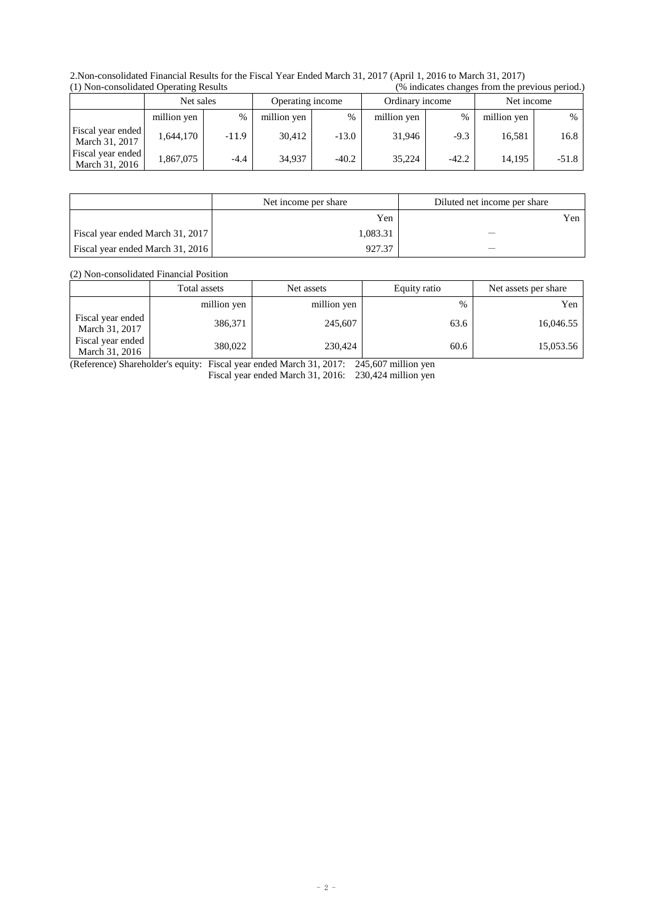2.Non-consolidated Financial Results for the Fiscal Year Ended March 31, 2017 (April 1, 2016 to March 31, 2017)  $\frac{1}{10}$  (% indicates changes from the previous period.)

| $(1)$ roll compondated operating replace |             |         |                  |         |                 | $\sim$ multiple virule of nome the presence better. |             |               |
|------------------------------------------|-------------|---------|------------------|---------|-----------------|-----------------------------------------------------|-------------|---------------|
|                                          | Net sales   |         | Operating income |         | Ordinary income |                                                     | Net income  |               |
|                                          | million yen | $\%$    | million yen      | $\%$    | million yen     | $\%$                                                | million yen | $\frac{0}{0}$ |
| Fiscal year ended<br>March 31, 2017      | 1.644.170   | $-11.9$ | 30.412           | $-13.0$ | 31.946          | $-9.3$                                              | 16.581      | 16.8          |
| Fiscal year ended<br>March 31, 2016      | 1,867,075   | $-4.4$  | 34,937           | $-40.2$ | 35.224          | $-42.2$                                             | 14.195      | $-51.8$       |

|                                  | Net income per share | Diluted net income per share |
|----------------------------------|----------------------|------------------------------|
|                                  | Yen                  | Yen                          |
| Fiscal year ended March 31, 2017 | 1.083.31             |                              |
| Fiscal year ended March 31, 2016 | 927.37               |                              |

(2) Non-consolidated Financial Position

|                                     | Total assets | Net assets  | Equity ratio | Net assets per share |
|-------------------------------------|--------------|-------------|--------------|----------------------|
|                                     | million yen  | million yen | $\%$         | Yen                  |
| Fiscal year ended<br>March 31, 2017 | 386,371      | 245,607     | 63.6         | 16,046.55            |
| Fiscal year ended<br>March 31, 2016 | 380,022      | 230,424     | 60.6         | 15,053.56            |

(Reference) Shareholder's equity: Fiscal year ended March 31, 2017: 245,607 million yen Fiscal year ended March 31, 2016: 230,424 million yen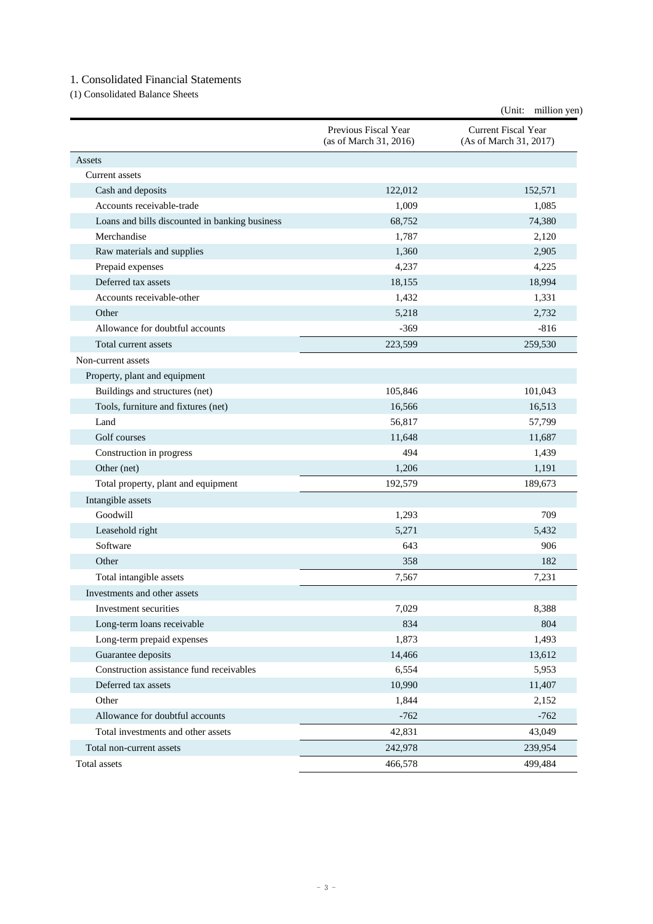### 1. Consolidated Financial Statements

(1) Consolidated Balance Sheets

|                                                |                                                | (Unit: million yen)                           |
|------------------------------------------------|------------------------------------------------|-----------------------------------------------|
|                                                | Previous Fiscal Year<br>(as of March 31, 2016) | Current Fiscal Year<br>(As of March 31, 2017) |
| Assets                                         |                                                |                                               |
| Current assets                                 |                                                |                                               |
| Cash and deposits                              | 122,012                                        | 152,571                                       |
| Accounts receivable-trade                      | 1,009                                          | 1,085                                         |
| Loans and bills discounted in banking business | 68,752                                         | 74,380                                        |
| Merchandise                                    | 1,787                                          | 2,120                                         |
| Raw materials and supplies                     | 1,360                                          | 2,905                                         |
| Prepaid expenses                               | 4,237                                          | 4,225                                         |
| Deferred tax assets                            | 18,155                                         | 18,994                                        |
| Accounts receivable-other                      | 1,432                                          | 1,331                                         |
| Other                                          | 5,218                                          | 2,732                                         |
| Allowance for doubtful accounts                | $-369$                                         | $-816$                                        |
| Total current assets                           | 223,599                                        | 259,530                                       |
| Non-current assets                             |                                                |                                               |
| Property, plant and equipment                  |                                                |                                               |
| Buildings and structures (net)                 | 105,846                                        | 101,043                                       |
| Tools, furniture and fixtures (net)            | 16,566                                         | 16,513                                        |
| Land                                           | 56,817                                         | 57,799                                        |
| Golf courses                                   | 11,648                                         | 11,687                                        |
| Construction in progress                       | 494                                            | 1,439                                         |
| Other (net)                                    | 1,206                                          | 1,191                                         |
| Total property, plant and equipment            | 192,579                                        | 189,673                                       |
| Intangible assets                              |                                                |                                               |
| Goodwill                                       | 1,293                                          | 709                                           |
| Leasehold right                                | 5,271                                          | 5,432                                         |
| Software                                       | 643                                            | 906                                           |
| Other                                          | 358                                            | 182                                           |
| Total intangible assets                        | 7,567                                          | 7,231                                         |
| Investments and other assets                   |                                                |                                               |
| Investment securities                          | 7,029                                          | 8,388                                         |
| Long-term loans receivable                     | 834                                            | 804                                           |
| Long-term prepaid expenses                     | 1,873                                          | 1,493                                         |
| Guarantee deposits                             | 14,466                                         | 13,612                                        |
| Construction assistance fund receivables       | 6,554                                          | 5,953                                         |
| Deferred tax assets                            | 10,990                                         | 11,407                                        |
| Other                                          | 1,844                                          | 2,152                                         |
| Allowance for doubtful accounts                | $-762$                                         | $-762$                                        |
| Total investments and other assets             | 42,831                                         | 43,049                                        |
| Total non-current assets                       | 242,978                                        | 239,954                                       |
| Total assets                                   | 466,578                                        | 499,484                                       |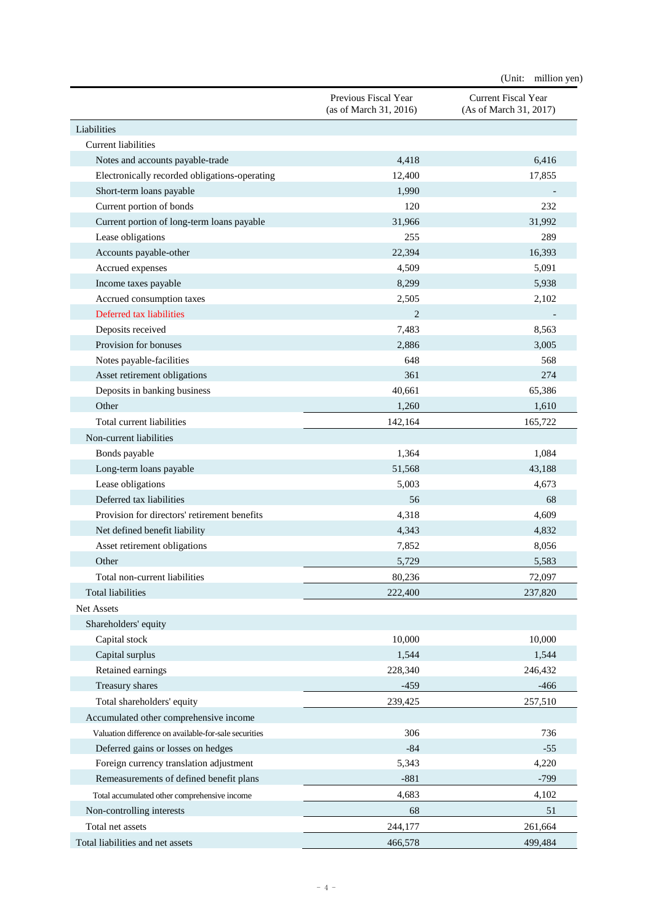|                                                       |                                                | (Unit:<br>million yen)                        |
|-------------------------------------------------------|------------------------------------------------|-----------------------------------------------|
|                                                       | Previous Fiscal Year<br>(as of March 31, 2016) | Current Fiscal Year<br>(As of March 31, 2017) |
| Liabilities                                           |                                                |                                               |
| <b>Current liabilities</b>                            |                                                |                                               |
| Notes and accounts payable-trade                      | 4,418                                          | 6,416                                         |
| Electronically recorded obligations-operating         | 12,400                                         | 17,855                                        |
| Short-term loans payable                              | 1,990                                          |                                               |
| Current portion of bonds                              | 120                                            | 232                                           |
| Current portion of long-term loans payable            | 31,966                                         | 31,992                                        |
| Lease obligations                                     | 255                                            | 289                                           |
| Accounts payable-other                                | 22,394                                         | 16,393                                        |
| Accrued expenses                                      | 4,509                                          | 5,091                                         |
| Income taxes payable                                  | 8,299                                          | 5,938                                         |
| Accrued consumption taxes                             | 2,505                                          | 2,102                                         |
| Deferred tax liabilities                              | $\overline{2}$                                 |                                               |
| Deposits received                                     | 7,483                                          | 8,563                                         |
| Provision for bonuses                                 | 2,886                                          | 3,005                                         |
| Notes payable-facilities                              | 648                                            | 568                                           |
| Asset retirement obligations                          | 361                                            | 274                                           |
| Deposits in banking business                          | 40,661                                         | 65,386                                        |
| Other                                                 | 1,260                                          | 1,610                                         |
| Total current liabilities                             | 142,164                                        | 165,722                                       |
| Non-current liabilities                               |                                                |                                               |
| Bonds payable                                         | 1,364                                          | 1,084                                         |
| Long-term loans payable                               | 51,568                                         | 43,188                                        |
| Lease obligations                                     | 5,003                                          | 4,673                                         |
| Deferred tax liabilities                              | 56                                             | 68                                            |
| Provision for directors' retirement benefits          | 4,318                                          | 4,609                                         |
| Net defined benefit liability                         | 4,343                                          | 4,832                                         |
| Asset retirement obligations                          | 7,852                                          | 8,056                                         |
| Other                                                 | 5,729                                          | 5,583                                         |
| Total non-current liabilities                         | 80,236                                         | 72,097                                        |
| <b>Total liabilities</b>                              | 222,400                                        | 237,820                                       |
| Net Assets                                            |                                                |                                               |
| Shareholders' equity                                  |                                                |                                               |
| Capital stock                                         | 10,000                                         | 10,000                                        |
| Capital surplus                                       | 1,544                                          | 1,544                                         |
| Retained earnings                                     | 228,340                                        | 246,432                                       |
| Treasury shares                                       | $-459$                                         | $-466$                                        |
| Total shareholders' equity                            | 239,425                                        | 257,510                                       |
| Accumulated other comprehensive income                |                                                |                                               |
| Valuation difference on available-for-sale securities | 306                                            | 736                                           |
| Deferred gains or losses on hedges                    | $-84$                                          | $-55$                                         |
| Foreign currency translation adjustment               | 5,343                                          | 4,220                                         |
| Remeasurements of defined benefit plans               | $-881$                                         | $-799$                                        |
|                                                       | 4,683                                          | 4,102                                         |
| Total accumulated other comprehensive income          |                                                |                                               |
| Non-controlling interests                             | 68                                             | 51                                            |
| Total net assets                                      | 244,177                                        | 261,664                                       |
| Total liabilities and net assets                      | 466,578                                        | 499,484                                       |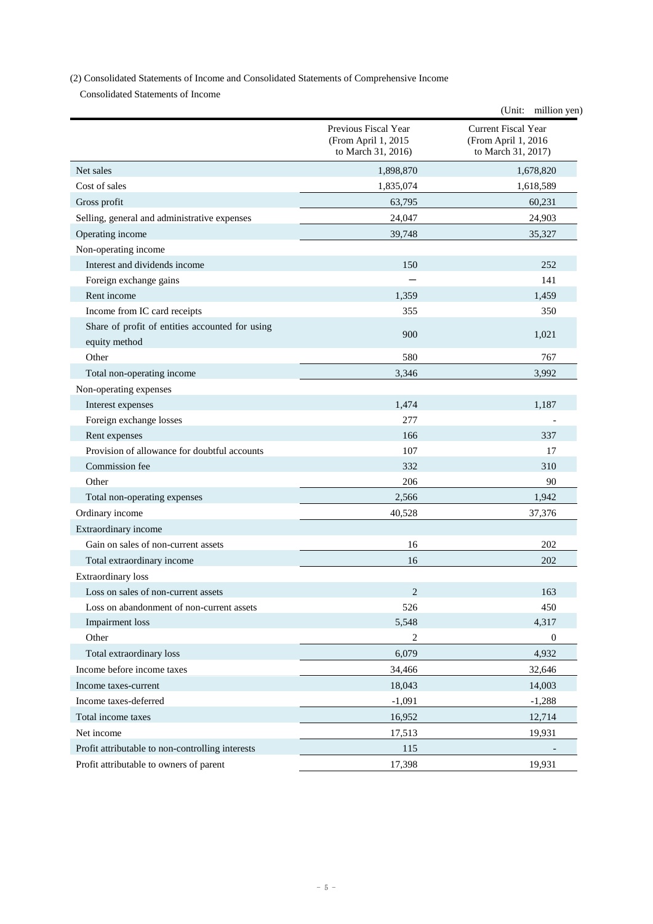## (2) Consolidated Statements of Income and Consolidated Statements of Comprehensive Income

Consolidated Statements of Income

|                                                                  |                                                                   | (Unit: million yen)                                              |
|------------------------------------------------------------------|-------------------------------------------------------------------|------------------------------------------------------------------|
|                                                                  | Previous Fiscal Year<br>(From April 1, 2015<br>to March 31, 2016) | Current Fiscal Year<br>(From April 1, 2016<br>to March 31, 2017) |
| Net sales                                                        | 1,898,870                                                         | 1,678,820                                                        |
| Cost of sales                                                    | 1,835,074                                                         | 1,618,589                                                        |
| Gross profit                                                     | 63,795                                                            | 60,231                                                           |
| Selling, general and administrative expenses                     | 24,047                                                            | 24,903                                                           |
| Operating income                                                 | 39,748                                                            | 35,327                                                           |
| Non-operating income                                             |                                                                   |                                                                  |
| Interest and dividends income                                    | 150                                                               | 252                                                              |
| Foreign exchange gains                                           |                                                                   | 141                                                              |
| Rent income                                                      | 1,359                                                             | 1,459                                                            |
| Income from IC card receipts                                     | 355                                                               | 350                                                              |
| Share of profit of entities accounted for using<br>equity method | 900                                                               | 1,021                                                            |
| Other                                                            | 580                                                               | 767                                                              |
| Total non-operating income                                       | 3,346                                                             | 3,992                                                            |
| Non-operating expenses                                           |                                                                   |                                                                  |
| Interest expenses                                                | 1,474                                                             | 1,187                                                            |
| Foreign exchange losses                                          | 277                                                               |                                                                  |
| Rent expenses                                                    | 166                                                               | 337                                                              |
| Provision of allowance for doubtful accounts                     | 107                                                               | 17                                                               |
| Commission fee                                                   | 332                                                               | 310                                                              |
| Other                                                            | 206                                                               | 90                                                               |
| Total non-operating expenses                                     | 2,566                                                             | 1,942                                                            |
| Ordinary income                                                  | 40,528                                                            | 37,376                                                           |
| Extraordinary income                                             |                                                                   |                                                                  |
| Gain on sales of non-current assets                              | 16                                                                | 202                                                              |
| Total extraordinary income                                       | 16                                                                | 202                                                              |
| <b>Extraordinary</b> loss                                        |                                                                   |                                                                  |
| Loss on sales of non-current assets                              | 2                                                                 | 163                                                              |
| Loss on abandonment of non-current assets                        | 526                                                               | 450                                                              |
| Impairment loss                                                  | 5,548                                                             | 4,317                                                            |
| Other                                                            | 2                                                                 | $\mathbf{0}$                                                     |
| Total extraordinary loss                                         | 6,079                                                             | 4,932                                                            |
| Income before income taxes                                       | 34,466                                                            | 32,646                                                           |
| Income taxes-current                                             | 18,043                                                            | 14,003                                                           |
| Income taxes-deferred                                            | $-1,091$                                                          | $-1,288$                                                         |
| Total income taxes                                               | 16,952                                                            | 12,714                                                           |
| Net income                                                       | 17,513                                                            | 19,931                                                           |
| Profit attributable to non-controlling interests                 | 115                                                               |                                                                  |
| Profit attributable to owners of parent                          | 17,398                                                            | 19,931                                                           |